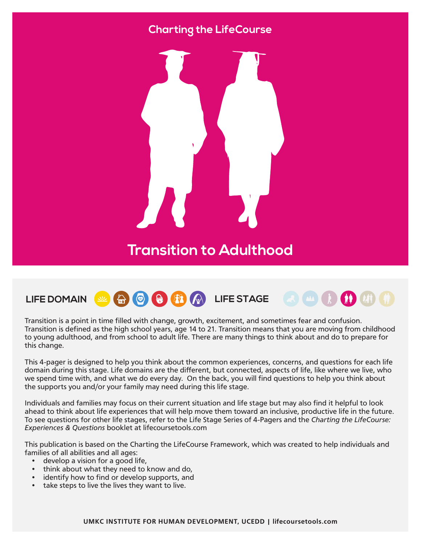### **Charting the LifeCourse**



## **Transition to Adulthood**

# LIFE DOMAIN **& A O & B A** W LIFE STAGE

Transition is a point in time filled with change, growth, excitement, and sometimes fear and confusion. Transition is defined as the high school years, age 14 to 21. Transition means that you are moving from childhood to young adulthood, and from school to adult life. There are many things to think about and do to prepare for this change.

This 4-pager is designed to help you think about the common experiences, concerns, and questions for each life domain during this stage. Life domains are the different, but connected, aspects of life, like where we live, who we spend time with, and what we do every day. On the back, you will find questions to help you think about the supports you and/or your family may need during this life stage.

Individuals and families may focus on their current situation and life stage but may also find it helpful to look ahead to think about life experiences that will help move them toward an inclusive, productive life in the future. To see questions for other life stages, refer to the Life Stage Series of 4-Pagers and the *Charting the LifeCourse: Experiences & Questions* booklet at lifecoursetools.com

This publication is based on the Charting the LifeCourse Framework, which was created to help individuals and families of all abilities and all ages:

- develop a vision for a good life,
- think about what they need to know and do,
- identify how to find or develop supports, and
- take steps to live the lives they want to live.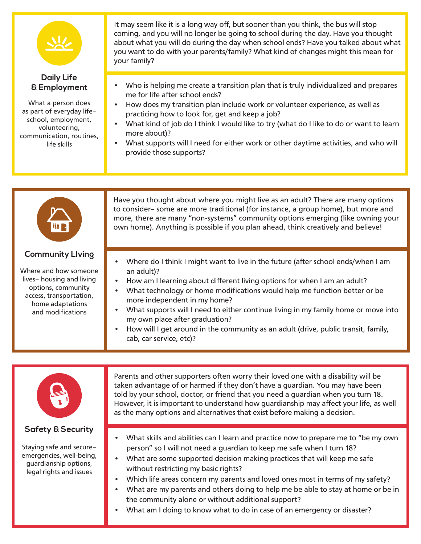

#### **Daily Life & Employment**

What a person does as part of everyday life– school, employment, volunteering, communication, routines, life skills

It may seem like it is a long way off, but sooner than you think, the bus will stop coming, and you will no longer be going to school during the day. Have you thought about what you will do during the day when school ends? Have you talked about what you want to do with your parents/family? What kind of changes might this mean for your family?

- Who is helping me create a transition plan that is truly individualized and prepares me for life after school ends?
- How does my transition plan include work or volunteer experience, as well as practicing how to look for, get and keep a job?
- What kind of job do I think I would like to try (what do I like to do or want to learn more about)?
- What supports will I need for either work or other daytime activities, and who will provide those supports?



### **Safety & Security**

Staying safe and secure– emergencies, well-being, guardianship options, legal rights and issues

- What skills and abilities can I learn and practice now to prepare me to "be my own person" so I will not need a guardian to keep me safe when I turn 18?
- What are some supported decision making practices that will keep me safe without restricting my basic rights?
- Which life areas concern my parents and loved ones most in terms of my safety?
- What are my parents and others doing to help me be able to stay at home or be in the community alone or without additional support?
- What am I doing to know what to do in case of an emergency or disaster?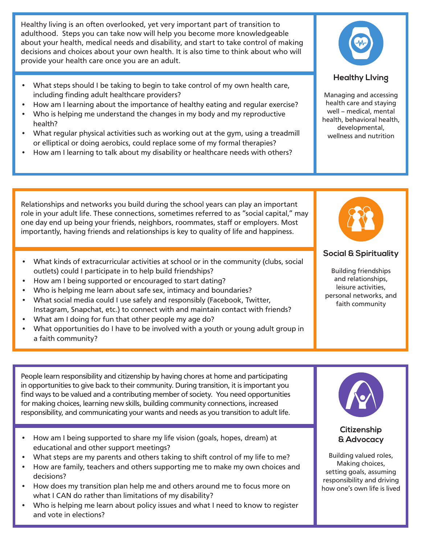Healthy living is an often overlooked, yet very important part of transition to adulthood. Steps you can take now will help you become more knowledgeable about your health, medical needs and disability, and start to take control of making decisions and choices about your own health. It is also time to think about who will provide your health care once you are an adult.

- **Healthy Living** What steps should I be taking to begin to take control of my own health care, including finding adult healthcare providers?
- How am I learning about the importance of healthy eating and regular exercise?
- Who is helping me understand the changes in my body and my reproductive health?
- What regular physical activities such as working out at the gym, using a treadmill or elliptical or doing aerobics, could replace some of my formal therapies?
- How am I learning to talk about my disability or healthcare needs with others?

Managing and accessing health care and staying well – medical, mental health, behavioral health, developmental, wellness and nutrition

Relationships and networks you build during the school years can play an important role in your adult life. These connections, sometimes referred to as "social capital," may one day end up being your friends, neighbors, roommates, staff or employers. Most importantly, having friends and relationships is key to quality of life and happiness.

- What kinds of extracurricular activities at school or in the community (clubs, social outlets) could I participate in to help build friendships?
- How am I being supported or encouraged to start dating?
- Who is helping me learn about safe sex, intimacy and boundaries?
- What social media could I use safely and responsibly (Facebook, Twitter, Instagram, Snapchat, etc.) to connect with and maintain contact with friends?
- What am I doing for fun that other people my age do?
- What opportunities do I have to be involved with a youth or young adult group in a faith community?

**Social & Spirituality**

Building friendships and relationships, leisure activities, personal networks, and faith community

People learn responsibility and citizenship by having chores at home and participating in opportunities to give back to their community. During transition, it is important you find ways to be valued and a contributing member of society. You need opportunities for making choices, learning new skills, building community connections, increased responsibility, and communicating your wants and needs as you transition to adult life.

- How am I being supported to share my life vision (goals, hopes, dream) at educational and other support meetings?
- What steps are my parents and others taking to shift control of my life to me?
- How are family, teachers and others supporting me to make my own choices and decisions?
- How does my transition plan help me and others around me to focus more on what I CAN do rather than limitations of my disability?
- Who is helping me learn about policy issues and what I need to know to register and vote in elections?



#### **Citizenship & Advocacy**

Building valued roles, Making choices, setting goals, assuming responsibility and driving how one's own life is lived